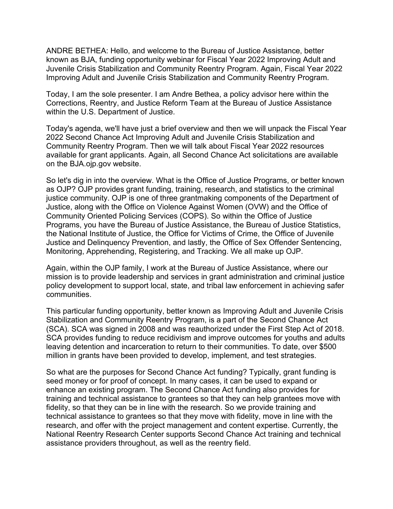ANDRE BETHEA: Hello, and welcome to the Bureau of Justice Assistance, better known as BJA, funding opportunity webinar for Fiscal Year 2022 Improving Adult and Juvenile Crisis Stabilization and Community Reentry Program. Again, Fiscal Year 2022 Improving Adult and Juvenile Crisis Stabilization and Community Reentry Program.

Today, I am the sole presenter. I am Andre Bethea, a policy advisor here within the Corrections, Reentry, and Justice Reform Team at the Bureau of Justice Assistance within the U.S. Department of Justice.

Today's agenda, we'll have just a brief overview and then we will unpack the Fiscal Year 2022 Second Chance Act Improving Adult and Juvenile Crisis Stabilization and Community Reentry Program. Then we will talk about Fiscal Year 2022 resources available for grant applicants. Again, all Second Chance Act solicitations are available on the BJA.ojp.gov website.

So let's dig in into the overview. What is the Office of Justice Programs, or better known as OJP? OJP provides grant funding, training, research, and statistics to the criminal justice community. OJP is one of three grantmaking components of the Department of Justice, along with the Office on Violence Against Women (OVW) and the Office of Community Oriented Policing Services (COPS). So within the Office of Justice Programs, you have the Bureau of Justice Assistance, the Bureau of Justice Statistics, the National Institute of Justice, the Office for Victims of Crime, the Office of Juvenile Justice and Delinquency Prevention, and lastly, the Office of Sex Offender Sentencing, Monitoring, Apprehending, Registering, and Tracking. We all make up OJP.

Again, within the OJP family, I work at the Bureau of Justice Assistance, where our mission is to provide leadership and services in grant administration and criminal justice policy development to support local, state, and tribal law enforcement in achieving safer communities.

This particular funding opportunity, better known as Improving Adult and Juvenile Crisis Stabilization and Community Reentry Program, is a part of the Second Chance Act (SCA). SCA was signed in 2008 and was reauthorized under the First Step Act of 2018. SCA provides funding to reduce recidivism and improve outcomes for youths and adults leaving detention and incarceration to return to their communities. To date, over \$500 million in grants have been provided to develop, implement, and test strategies.

So what are the purposes for Second Chance Act funding? Typically, grant funding is seed money or for proof of concept. In many cases, it can be used to expand or enhance an existing program. The Second Chance Act funding also provides for training and technical assistance to grantees so that they can help grantees move with fidelity, so that they can be in line with the research. So we provide training and technical assistance to grantees so that they move with fidelity, move in line with the research, and offer with the project management and content expertise. Currently, the National Reentry Research Center supports Second Chance Act training and technical assistance providers throughout, as well as the reentry field.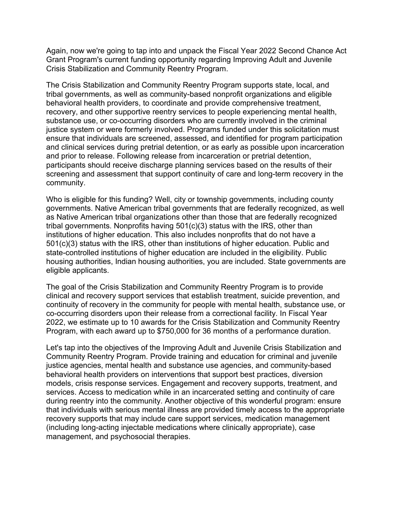Again, now we're going to tap into and unpack the Fiscal Year 2022 Second Chance Act Grant Program's current funding opportunity regarding Improving Adult and Juvenile Crisis Stabilization and Community Reentry Program.

The Crisis Stabilization and Community Reentry Program supports state, local, and tribal governments, as well as community-based nonprofit organizations and eligible behavioral health providers, to coordinate and provide comprehensive treatment, recovery, and other supportive reentry services to people experiencing mental health, substance use, or co-occurring disorders who are currently involved in the criminal justice system or were formerly involved. Programs funded under this solicitation must ensure that individuals are screened, assessed, and identified for program participation and clinical services during pretrial detention, or as early as possible upon incarceration and prior to release. Following release from incarceration or pretrial detention, participants should receive discharge planning services based on the results of their screening and assessment that support continuity of care and long-term recovery in the community.

Who is eligible for this funding? Well, city or township governments, including county governments. Native American tribal governments that are federally recognized, as well as Native American tribal organizations other than those that are federally recognized tribal governments. Nonprofits having 501(c)(3) status with the IRS, other than institutions of higher education. This also includes nonprofits that do not have a 501(c)(3) status with the IRS, other than institutions of higher education. Public and state-controlled institutions of higher education are included in the eligibility. Public housing authorities, Indian housing authorities, you are included. State governments are eligible applicants.

The goal of the Crisis Stabilization and Community Reentry Program is to provide clinical and recovery support services that establish treatment, suicide prevention, and continuity of recovery in the community for people with mental health, substance use, or co-occurring disorders upon their release from a correctional facility. In Fiscal Year 2022, we estimate up to 10 awards for the Crisis Stabilization and Community Reentry Program, with each award up to \$750,000 for 36 months of a performance duration.

Let's tap into the objectives of the Improving Adult and Juvenile Crisis Stabilization and Community Reentry Program. Provide training and education for criminal and juvenile justice agencies, mental health and substance use agencies, and community-based behavioral health providers on interventions that support best practices, diversion models, crisis response services. Engagement and recovery supports, treatment, and services. Access to medication while in an incarcerated setting and continuity of care during reentry into the community. Another objective of this wonderful program: ensure that individuals with serious mental illness are provided timely access to the appropriate recovery supports that may include care support services, medication management (including long-acting injectable medications where clinically appropriate), case management, and psychosocial therapies.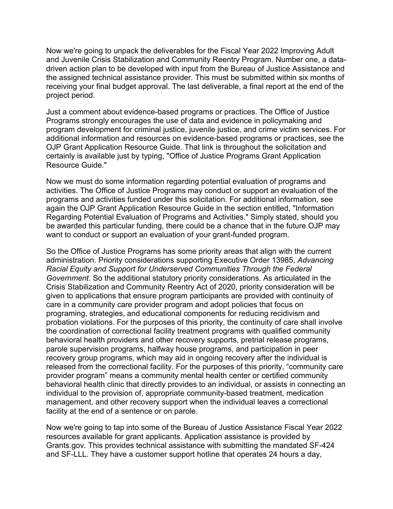Now we're going to unpack the deliverables for the Fiscal Year 2022 Improving Adult and Juvenile Crisis Stabilization and Community Reentry Program. Number one, a datadriven action plan to be developed with input from the Bureau of Justice Assistance and the assigned technical assistance provider. This must be submitted within six months of receiving your final budget approval. The last deliverable, a final report at the end of the project period.

Just a comment about evidence-based programs or practices. The Office of Justice Programs strongly encourages the use of data and evidence in policymaking and program development for criminal justice, juvenile justice, and crime victim services. For additional information and resources on evidence-based programs or practices, see the OJP Grant Application Resource Guide. That link is throughout the solicitation and certainly is available just by typing, "Office of Justice Programs Grant Application Resource Guide."

Now we must do some information regarding potential evaluation of programs and activities. The Office of Justice Programs may conduct or support an evaluation of the programs and activities funded under this solicitation. For additional information, see again the OJP Grant Application Resource Guide in the section entitled, "Information Regarding Potential Evaluation of Programs and Activities." Simply stated, should you be awarded this particular funding, there could be a chance that in the future OJP may want to conduct or support an evaluation of your grant-funded program.

So the Office of Justice Programs has some priority areas that align with the current administration. Priority considerations supporting Executive Order 13985, *Advancing Racial Equity and Support for Underserved Communities Through the Federal Government*. So the additional statutory priority considerations. As articulated in the Crisis Stabilization and Community Reentry Act of 2020, priority consideration will be given to applications that ensure program participants are provided with continuity of care in a community care provider program and adopt policies that focus on programing, strategies, and educational components for reducing recidivism and probation violations. For the purposes of this priority, the continuity of care shall involve the coordination of correctional facility treatment programs with qualified community behavioral health providers and other recovery supports, pretrial release programs, parole supervision programs, halfway house programs, and participation in peer recovery group programs, which may aid in ongoing recovery after the individual is released from the correctional facility. For the purposes of this priority, "community care provider program" means a community mental health center or certified community behavioral health clinic that directly provides to an individual, or assists in connecting an individual to the provision of, appropriate community-based treatment, medication management, and other recovery support when the individual leaves a correctional facility at the end of a sentence or on parole.

Now we're going to tap into some of the Bureau of Justice Assistance Fiscal Year 2022 resources available for grant applicants. Application assistance is provided by Grants.gov. This provides technical assistance with submitting the mandated SF-424 and SF-LLL. They have a customer support hotline that operates 24 hours a day,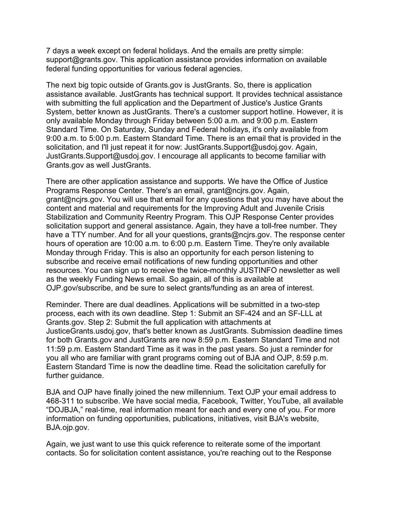7 days a week except on federal holidays. And the emails are pretty simple: support@grants.gov. This application assistance provides information on available federal funding opportunities for various federal agencies.

The next big topic outside of Grants.gov is JustGrants. So, there is application assistance available. JustGrants has technical support. It provides technical assistance with submitting the full application and the Department of Justice's Justice Grants System, better known as JustGrants. There's a customer support hotline. However, it is only available Monday through Friday between 5:00 a.m. and 9:00 p.m. Eastern Standard Time. On Saturday, Sunday and Federal holidays, it's only available from 9:00 a.m. to 5:00 p.m. Eastern Standard Time. There is an email that is provided in the solicitation, and I'll just repeat it for now: JustGrants.Support@usdoj.gov. Again, JustGrants.Support@usdoj.gov. I encourage all applicants to become familiar with Grants.gov as well JustGrants.

There are other application assistance and supports. We have the Office of Justice Programs Response Center. There's an email, grant@ncjrs.gov. Again, grant@ncjrs.gov. You will use that email for any questions that you may have about the content and material and requirements for the Improving Adult and Juvenile Crisis Stabilization and Community Reentry Program. This OJP Response Center provides solicitation support and general assistance. Again, they have a toll-free number. They have a TTY number. And for all your questions, grants@ncjrs.gov. The response center hours of operation are 10:00 a.m. to 6:00 p.m. Eastern Time. They're only available Monday through Friday. This is also an opportunity for each person listening to subscribe and receive email notifications of new funding opportunities and other resources. You can sign up to receive the twice-monthly JUSTINFO newsletter as well as the weekly Funding News email. So again, all of this is available at OJP.gov/subscribe, and be sure to select grants/funding as an area of interest.

Reminder. There are dual deadlines. Applications will be submitted in a two-step process, each with its own deadline. Step 1: Submit an SF-424 and an SF-LLL at Grants.gov. Step 2: Submit the full application with attachments at JusticeGrants.usdoj.gov, that's better known as JustGrants. Submission deadline times for both Grants.gov and JustGrants are now 8:59 p.m. Eastern Standard Time and not 11:59 p.m. Eastern Standard Time as it was in the past years. So just a reminder for you all who are familiar with grant programs coming out of BJA and OJP, 8:59 p.m. Eastern Standard Time is now the deadline time. Read the solicitation carefully for further guidance.

BJA and OJP have finally joined the new millennium. Text OJP your email address to 468-311 to subscribe. We have social media, Facebook, Twitter, YouTube, all available "DOJBJA," real-time, real information meant for each and every one of you. For more information on funding opportunities, publications, initiatives, visit BJA's website, BJA.ojp.gov.

Again, we just want to use this quick reference to reiterate some of the important contacts. So for solicitation content assistance, you're reaching out to the Response